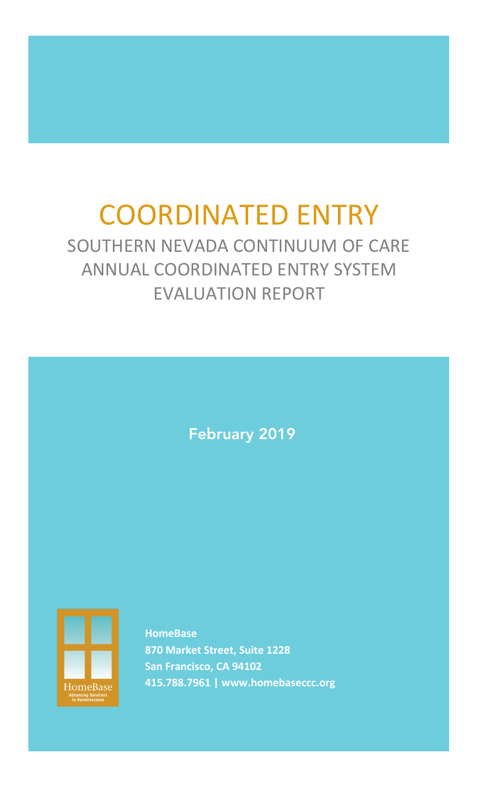# COORDINATED ENTRY

SOUTHERN NEVADA CONTINUUM OF CARE ANNUAL COORDINATED ENTRY SYSTEM EVALUATION REPORT

February 2019



**HomeBase 870 Market Street, Suite 1228 San Francisco, CA 94102 415.788.7961 | www.homebaseccc.org**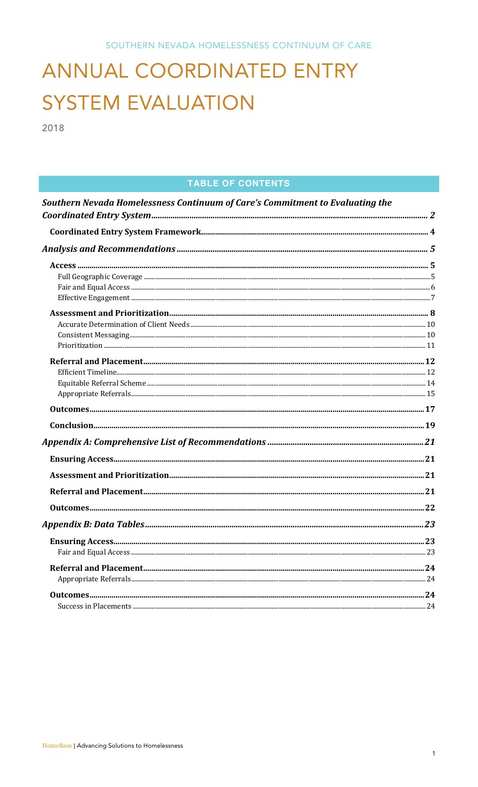# ANNUAL COORDINATED ENTRY **SYSTEM EVALUATION**

2018

# **TABLE OF CONTENTS**

| Southern Nevada Homelessness Continuum of Care's Commitment to Evaluating the |  |
|-------------------------------------------------------------------------------|--|
|                                                                               |  |
|                                                                               |  |
|                                                                               |  |
|                                                                               |  |
|                                                                               |  |
|                                                                               |  |
|                                                                               |  |
|                                                                               |  |
|                                                                               |  |
|                                                                               |  |
|                                                                               |  |
|                                                                               |  |
|                                                                               |  |
|                                                                               |  |
|                                                                               |  |
|                                                                               |  |
|                                                                               |  |
|                                                                               |  |
|                                                                               |  |
|                                                                               |  |
|                                                                               |  |
|                                                                               |  |
|                                                                               |  |
|                                                                               |  |
|                                                                               |  |
|                                                                               |  |
|                                                                               |  |
|                                                                               |  |
|                                                                               |  |
|                                                                               |  |
|                                                                               |  |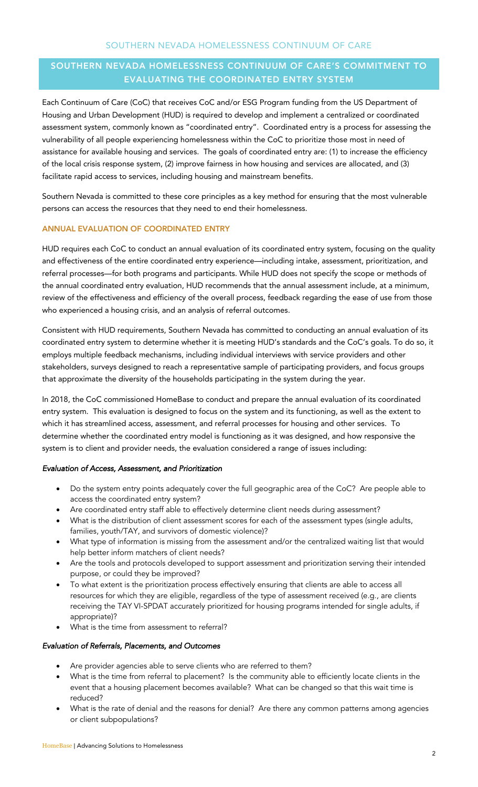# SOUTHERN NEVADA HOMELESSNESS CONTINUUM OF CARE'S COMMITMENT TO EVALUATING THE COORDINATED ENTRY SYSTEM

Each Continuum of Care (CoC) that receives CoC and/or ESG Program funding from the US Department of Housing and Urban Development (HUD) is required to develop and implement a centralized or coordinated assessment system, commonly known as "coordinated entry". Coordinated entry is a process for assessing the vulnerability of all people experiencing homelessness within the CoC to prioritize those most in need of assistance for available housing and services. The goals of coordinated entry are: (1) to increase the efficiency of the local crisis response system, (2) improve fairness in how housing and services are allocated, and (3) facilitate rapid access to services, including housing and mainstream benefits.

Southern Nevada is committed to these core principles as a key method for ensuring that the most vulnerable persons can access the resources that they need to end their homelessness.

#### ANNUAL EVALUATION OF COORDINATED ENTRY

HUD requires each CoC to conduct an annual evaluation of its coordinated entry system, focusing on the quality and effectiveness of the entire coordinated entry experience—including intake, assessment, prioritization, and referral processes—for both programs and participants. While HUD does not specify the scope or methods of the annual coordinated entry evaluation, HUD recommends that the annual assessment include, at a minimum, review of the effectiveness and efficiency of the overall process, feedback regarding the ease of use from those who experienced a housing crisis, and an analysis of referral outcomes.

Consistent with HUD requirements, Southern Nevada has committed to conducting an annual evaluation of its coordinated entry system to determine whether it is meeting HUD's standards and the CoC's goals. To do so, it employs multiple feedback mechanisms, including individual interviews with service providers and other stakeholders, surveys designed to reach a representative sample of participating providers, and focus groups that approximate the diversity of the households participating in the system during the year.

In 2018, the CoC commissioned HomeBase to conduct and prepare the annual evaluation of its coordinated entry system. This evaluation is designed to focus on the system and its functioning, as well as the extent to which it has streamlined access, assessment, and referral processes for housing and other services. To determine whether the coordinated entry model is functioning as it was designed, and how responsive the system is to client and provider needs, the evaluation considered a range of issues including:

#### *Evaluation of Access, Assessment, and Prioritization*

- Do the system entry points adequately cover the full geographic area of the CoC? Are people able to access the coordinated entry system?
- Are coordinated entry staff able to effectively determine client needs during assessment?
- What is the distribution of client assessment scores for each of the assessment types (single adults, families, youth/TAY, and survivors of domestic violence)?
- What type of information is missing from the assessment and/or the centralized waiting list that would help better inform matchers of client needs?
- Are the tools and protocols developed to support assessment and prioritization serving their intended purpose, or could they be improved?
- To what extent is the prioritization process effectively ensuring that clients are able to access all resources for which they are eligible, regardless of the type of assessment received (e.g., are clients receiving the TAY VI-SPDAT accurately prioritized for housing programs intended for single adults, if appropriate)?
- What is the time from assessment to referral?

#### *Evaluation of Referrals, Placements, and Outcomes*

- Are provider agencies able to serve clients who are referred to them?
- What is the time from referral to placement? Is the community able to efficiently locate clients in the event that a housing placement becomes available? What can be changed so that this wait time is reduced?
- What is the rate of denial and the reasons for denial? Are there any common patterns among agencies or client subpopulations?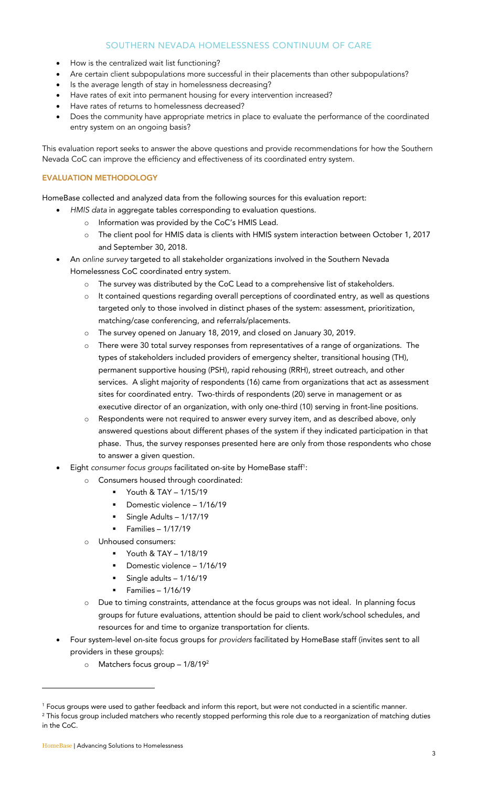- How is the centralized wait list functioning?
- Are certain client subpopulations more successful in their placements than other subpopulations?
- Is the average length of stay in homelessness decreasing?
- Have rates of exit into permanent housing for every intervention increased?
- Have rates of returns to homelessness decreased?
- Does the community have appropriate metrics in place to evaluate the performance of the coordinated entry system on an ongoing basis?

This evaluation report seeks to answer the above questions and provide recommendations for how the Southern Nevada CoC can improve the efficiency and effectiveness of its coordinated entry system.

# EVALUATION METHODOLOGY

HomeBase collected and analyzed data from the following sources for this evaluation report:

- *HMIS data* in aggregate tables corresponding to evaluation questions.
	- o Information was provided by the CoC's HMIS Lead.
	- o The client pool for HMIS data is clients with HMIS system interaction between October 1, 2017 and September 30, 2018.
- An *online survey* targeted to all stakeholder organizations involved in the Southern Nevada Homelessness CoC coordinated entry system.
	- o The survey was distributed by the CoC Lead to a comprehensive list of stakeholders.
	- o It contained questions regarding overall perceptions of coordinated entry, as well as questions targeted only to those involved in distinct phases of the system: assessment, prioritization, matching/case conferencing, and referrals/placements.
	- o The survey opened on January 18, 2019, and closed on January 30, 2019.
	- o There were 30 total survey responses from representatives of a range of organizations. The types of stakeholders included providers of emergency shelter, transitional housing (TH), permanent supportive housing (PSH), rapid rehousing (RRH), street outreach, and other services. A slight majority of respondents (16) came from organizations that act as assessment sites for coordinated entry. Two-thirds of respondents (20) serve in management or as executive director of an organization, with only one-third (10) serving in front-line positions.
	- o Respondents were not required to answer every survey item, and as described above, only answered questions about different phases of the system if they indicated participation in that phase. Thus, the survey responses presented here are only from those respondents who chose to answer a given question.
- Eight *consumer focus groups* facilitated on-site by HomeBase staff<sup>1</sup>:
	- o Consumers housed through coordinated:
		- § Youth & TAY 1/15/19
		- § Domestic violence 1/16/19
		- § Single Adults 1/17/19
		- § Families 1/17/19
	- o Unhoused consumers:
		- § Youth & TAY 1/18/19
		- § Domestic violence 1/16/19
		- § Single adults 1/16/19
		- § Families 1/16/19
	- o Due to timing constraints, attendance at the focus groups was not ideal. In planning focus groups for future evaluations, attention should be paid to client work/school schedules, and resources for and time to organize transportation for clients.
- Four system-level on-site focus groups for *providers* facilitated by HomeBase staff (invites sent to all providers in these groups):
	- o Matchers focus group 1/8/192

in the CoC.

1

<sup>&</sup>lt;sup>1</sup> Focus groups were used to gather feedback and inform this report, but were not conducted in a scientific manner. <sup>2</sup> This focus group included matchers who recently stopped performing this role due to a reorganization of matching duties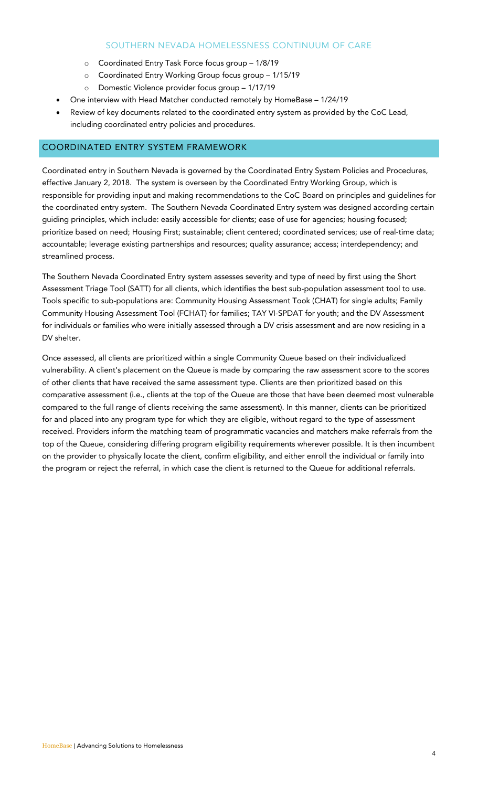- o Coordinated Entry Task Force focus group 1/8/19
- o Coordinated Entry Working Group focus group 1/15/19
- o Domestic Violence provider focus group 1/17/19
- One interview with Head Matcher conducted remotely by HomeBase 1/24/19
- Review of key documents related to the coordinated entry system as provided by the CoC Lead, including coordinated entry policies and procedures.

# COORDINATED ENTRY SYSTEM FRAMEWORK

Coordinated entry in Southern Nevada is governed by the Coordinated Entry System Policies and Procedures, effective January 2, 2018. The system is overseen by the Coordinated Entry Working Group, which is responsible for providing input and making recommendations to the CoC Board on principles and guidelines for the coordinated entry system. The Southern Nevada Coordinated Entry system was designed according certain guiding principles, which include: easily accessible for clients; ease of use for agencies; housing focused; prioritize based on need; Housing First; sustainable; client centered; coordinated services; use of real-time data; accountable; leverage existing partnerships and resources; quality assurance; access; interdependency; and streamlined process.

The Southern Nevada Coordinated Entry system assesses severity and type of need by first using the Short Assessment Triage Tool (SATT) for all clients, which identifies the best sub-population assessment tool to use. Tools specific to sub-populations are: Community Housing Assessment Took (CHAT) for single adults; Family Community Housing Assessment Tool (FCHAT) for families; TAY VI-SPDAT for youth; and the DV Assessment for individuals or families who were initially assessed through a DV crisis assessment and are now residing in a DV shelter.

Once assessed, all clients are prioritized within a single Community Queue based on their individualized vulnerability. A client's placement on the Queue is made by comparing the raw assessment score to the scores of other clients that have received the same assessment type. Clients are then prioritized based on this comparative assessment (i.e., clients at the top of the Queue are those that have been deemed most vulnerable compared to the full range of clients receiving the same assessment). In this manner, clients can be prioritized for and placed into any program type for which they are eligible, without regard to the type of assessment received. Providers inform the matching team of programmatic vacancies and matchers make referrals from the top of the Queue, considering differing program eligibility requirements wherever possible. It is then incumbent on the provider to physically locate the client, confirm eligibility, and either enroll the individual or family into the program or reject the referral, in which case the client is returned to the Queue for additional referrals.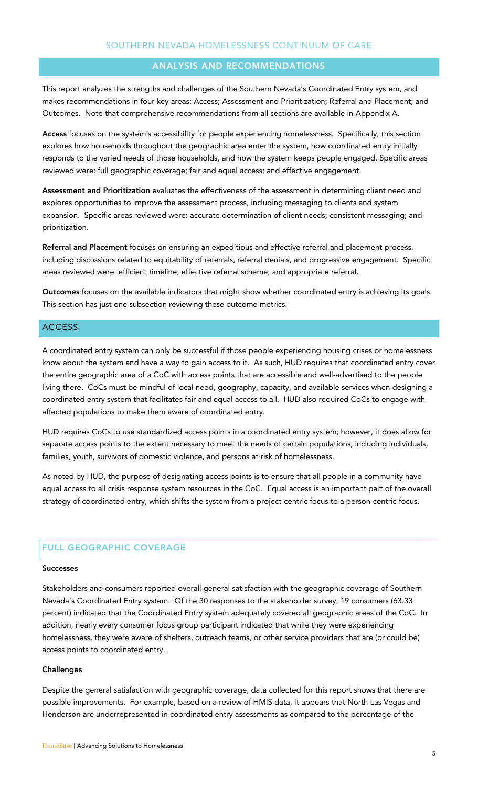#### ANALYSIS AND RECOMMENDATIONS

This report analyzes the strengths and challenges of the Southern Nevada's Coordinated Entry system, and makes recommendations in four key areas: Access; Assessment and Prioritization; Referral and Placement; and Outcomes. Note that comprehensive recommendations from all sections are available in Appendix A.

Access focuses on the system's accessibility for people experiencing homelessness. Specifically, this section explores how households throughout the geographic area enter the system, how coordinated entry initially responds to the varied needs of those households, and how the system keeps people engaged. Specific areas reviewed were: full geographic coverage; fair and equal access; and effective engagement.

Assessment and Prioritization evaluates the effectiveness of the assessment in determining client need and explores opportunities to improve the assessment process, including messaging to clients and system expansion. Specific areas reviewed were: accurate determination of client needs; consistent messaging; and prioritization.

Referral and Placement focuses on ensuring an expeditious and effective referral and placement process, including discussions related to equitability of referrals, referral denials, and progressive engagement. Specific areas reviewed were: efficient timeline; effective referral scheme; and appropriate referral.

Outcomes focuses on the available indicators that might show whether coordinated entry is achieving its goals. This section has just one subsection reviewing these outcome metrics.

#### **ACCESS**

A coordinated entry system can only be successful if those people experiencing housing crises or homelessness know about the system and have a way to gain access to it. As such, HUD requires that coordinated entry cover the entire geographic area of a CoC with access points that are accessible and well-advertised to the people living there. CoCs must be mindful of local need, geography, capacity, and available services when designing a coordinated entry system that facilitates fair and equal access to all. HUD also required CoCs to engage with affected populations to make them aware of coordinated entry.

HUD requires CoCs to use standardized access points in a coordinated entry system; however, it does allow for separate access points to the extent necessary to meet the needs of certain populations, including individuals, families, youth, survivors of domestic violence, and persons at risk of homelessness.

As noted by HUD, the purpose of designating access points is to ensure that all people in a community have equal access to all crisis response system resources in the CoC. Equal access is an important part of the overall strategy of coordinated entry, which shifts the system from a project-centric focus to a person-centric focus.

#### FULL GEOGRAPHIC COVERAGE

#### Successes

Stakeholders and consumers reported overall general satisfaction with the geographic coverage of Southern Nevada's Coordinated Entry system. Of the 30 responses to the stakeholder survey, 19 consumers (63.33 percent) indicated that the Coordinated Entry system adequately covered all geographic areas of the CoC. In addition, nearly every consumer focus group participant indicated that while they were experiencing homelessness, they were aware of shelters, outreach teams, or other service providers that are (or could be) access points to coordinated entry.

#### **Challenges**

Despite the general satisfaction with geographic coverage, data collected for this report shows that there are possible improvements. For example, based on a review of HMIS data, it appears that North Las Vegas and Henderson are underrepresented in coordinated entry assessments as compared to the percentage of the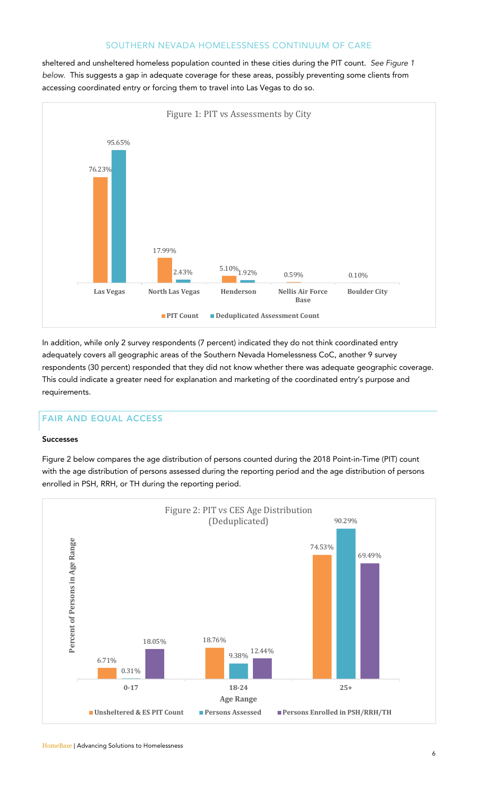sheltered and unsheltered homeless population counted in these cities during the PIT count. *See Figure 1 below.* This suggests a gap in adequate coverage for these areas, possibly preventing some clients from accessing coordinated entry or forcing them to travel into Las Vegas to do so.



In addition, while only 2 survey respondents (7 percent) indicated they do not think coordinated entry adequately covers all geographic areas of the Southern Nevada Homelessness CoC, another 9 survey respondents (30 percent) responded that they did not know whether there was adequate geographic coverage. This could indicate a greater need for explanation and marketing of the coordinated entry's purpose and requirements.

# FAIR AND EQUAL ACCESS

#### Successes

Figure 2 below compares the age distribution of persons counted during the 2018 Point-in-Time (PIT) count with the age distribution of persons assessed during the reporting period and the age distribution of persons enrolled in PSH, RRH, or TH during the reporting period.

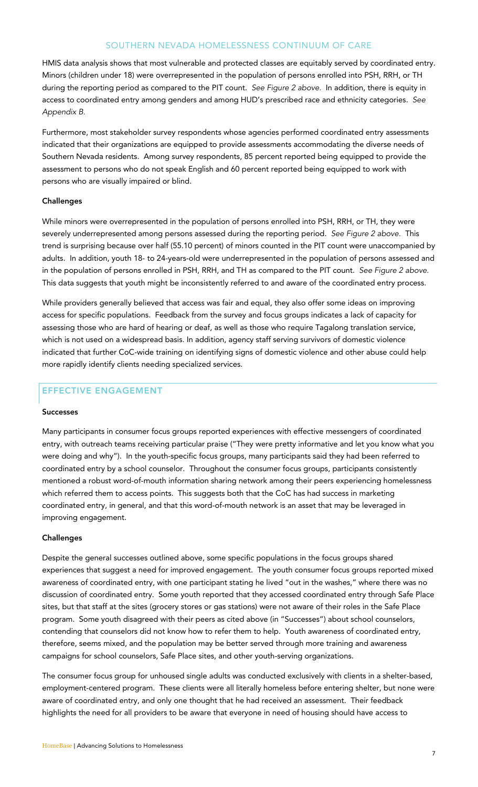HMIS data analysis shows that most vulnerable and protected classes are equitably served by coordinated entry. Minors (children under 18) were overrepresented in the population of persons enrolled into PSH, RRH, or TH during the reporting period as compared to the PIT count. *See Figure 2 above.* In addition, there is equity in access to coordinated entry among genders and among HUD's prescribed race and ethnicity categories. *See Appendix B.*

Furthermore, most stakeholder survey respondents whose agencies performed coordinated entry assessments indicated that their organizations are equipped to provide assessments accommodating the diverse needs of Southern Nevada residents. Among survey respondents, 85 percent reported being equipped to provide the assessment to persons who do not speak English and 60 percent reported being equipped to work with persons who are visually impaired or blind.

#### Challenges

While minors were overrepresented in the population of persons enrolled into PSH, RRH, or TH, they were severely underrepresented among persons assessed during the reporting period. *See Figure 2 above.* This trend is surprising because over half (55.10 percent) of minors counted in the PIT count were unaccompanied by adults. In addition, youth 18- to 24-years-old were underrepresented in the population of persons assessed and in the population of persons enrolled in PSH, RRH, and TH as compared to the PIT count. *See Figure 2 above.* This data suggests that youth might be inconsistently referred to and aware of the coordinated entry process.

While providers generally believed that access was fair and equal, they also offer some ideas on improving access for specific populations. Feedback from the survey and focus groups indicates a lack of capacity for assessing those who are hard of hearing or deaf, as well as those who require Tagalong translation service, which is not used on a widespread basis. In addition, agency staff serving survivors of domestic violence indicated that further CoC-wide training on identifying signs of domestic violence and other abuse could help more rapidly identify clients needing specialized services.

# EFFECTIVE ENGAGEMENT

#### Successes

Many participants in consumer focus groups reported experiences with effective messengers of coordinated entry, with outreach teams receiving particular praise ("They were pretty informative and let you know what you were doing and why"). In the youth-specific focus groups, many participants said they had been referred to coordinated entry by a school counselor. Throughout the consumer focus groups, participants consistently mentioned a robust word-of-mouth information sharing network among their peers experiencing homelessness which referred them to access points. This suggests both that the CoC has had success in marketing coordinated entry, in general, and that this word-of-mouth network is an asset that may be leveraged in improving engagement.

#### **Challenges**

Despite the general successes outlined above, some specific populations in the focus groups shared experiences that suggest a need for improved engagement. The youth consumer focus groups reported mixed awareness of coordinated entry, with one participant stating he lived "out in the washes," where there was no discussion of coordinated entry. Some youth reported that they accessed coordinated entry through Safe Place sites, but that staff at the sites (grocery stores or gas stations) were not aware of their roles in the Safe Place program. Some youth disagreed with their peers as cited above (in "Successes") about school counselors, contending that counselors did not know how to refer them to help. Youth awareness of coordinated entry, therefore, seems mixed, and the population may be better served through more training and awareness campaigns for school counselors, Safe Place sites, and other youth-serving organizations.

The consumer focus group for unhoused single adults was conducted exclusively with clients in a shelter-based, employment-centered program. These clients were all literally homeless before entering shelter, but none were aware of coordinated entry, and only one thought that he had received an assessment. Their feedback highlights the need for all providers to be aware that everyone in need of housing should have access to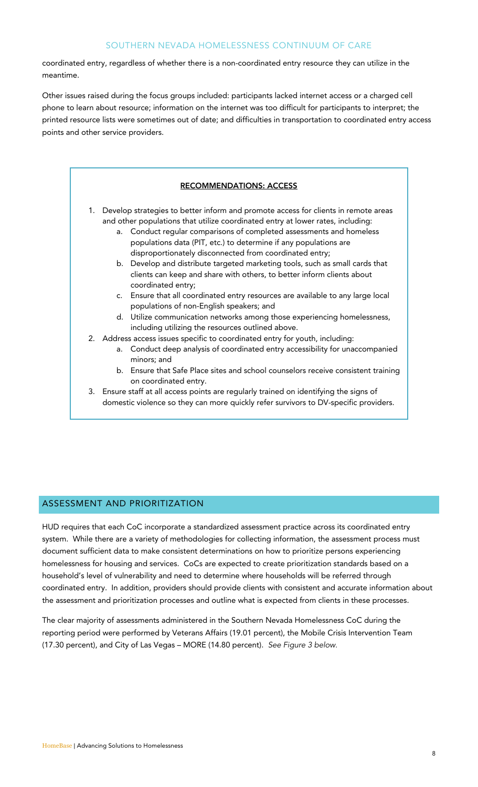coordinated entry, regardless of whether there is a non-coordinated entry resource they can utilize in the meantime.

Other issues raised during the focus groups included: participants lacked internet access or a charged cell phone to learn about resource; information on the internet was too difficult for participants to interpret; the printed resource lists were sometimes out of date; and difficulties in transportation to coordinated entry access points and other service providers.



#### ASSESSMENT AND PRIORITIZATION

HUD requires that each CoC incorporate a standardized assessment practice across its coordinated entry system. While there are a variety of methodologies for collecting information, the assessment process must document sufficient data to make consistent determinations on how to prioritize persons experiencing homelessness for housing and services. CoCs are expected to create prioritization standards based on a household's level of vulnerability and need to determine where households will be referred through coordinated entry. In addition, providers should provide clients with consistent and accurate information about the assessment and prioritization processes and outline what is expected from clients in these processes.

The clear majority of assessments administered in the Southern Nevada Homelessness CoC during the reporting period were performed by Veterans Affairs (19.01 percent), the Mobile Crisis Intervention Team (17.30 percent), and City of Las Vegas – MORE (14.80 percent). *See Figure 3 below.*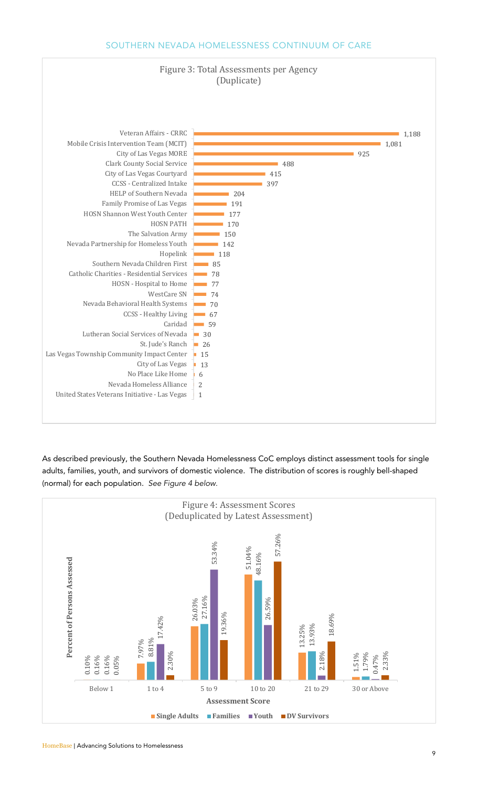

As described previously, the Southern Nevada Homelessness CoC employs distinct assessment tools for single adults, families, youth, and survivors of domestic violence. The distribution of scores is roughly bell-shaped (normal) for each population. *See Figure 4 below.*



**HomeBase | Advancing Solutions to Homelessness**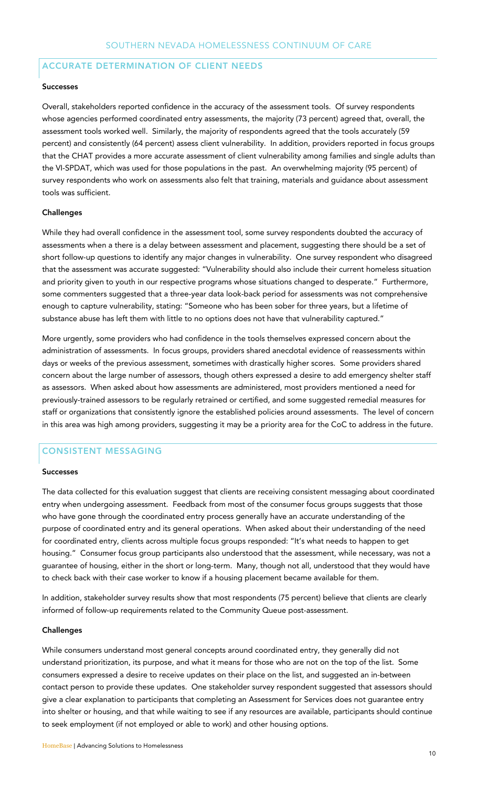#### ACCURATE DETERMINATION OF CLIENT NEEDS

#### Successes

Overall, stakeholders reported confidence in the accuracy of the assessment tools. Of survey respondents whose agencies performed coordinated entry assessments, the majority (73 percent) agreed that, overall, the assessment tools worked well. Similarly, the majority of respondents agreed that the tools accurately (59 percent) and consistently (64 percent) assess client vulnerability. In addition, providers reported in focus groups that the CHAT provides a more accurate assessment of client vulnerability among families and single adults than the VI-SPDAT, which was used for those populations in the past. An overwhelming majority (95 percent) of survey respondents who work on assessments also felt that training, materials and guidance about assessment tools was sufficient.

#### Challenges

While they had overall confidence in the assessment tool, some survey respondents doubted the accuracy of assessments when a there is a delay between assessment and placement, suggesting there should be a set of short follow-up questions to identify any major changes in vulnerability. One survey respondent who disagreed that the assessment was accurate suggested: "Vulnerability should also include their current homeless situation and priority given to youth in our respective programs whose situations changed to desperate." Furthermore, some commenters suggested that a three-year data look-back period for assessments was not comprehensive enough to capture vulnerability, stating: "Someone who has been sober for three years, but a lifetime of substance abuse has left them with little to no options does not have that vulnerability captured."

More urgently, some providers who had confidence in the tools themselves expressed concern about the administration of assessments. In focus groups, providers shared anecdotal evidence of reassessments within days or weeks of the previous assessment, sometimes with drastically higher scores. Some providers shared concern about the large number of assessors, though others expressed a desire to add emergency shelter staff as assessors. When asked about how assessments are administered, most providers mentioned a need for previously-trained assessors to be regularly retrained or certified, and some suggested remedial measures for staff or organizations that consistently ignore the established policies around assessments. The level of concern in this area was high among providers, suggesting it may be a priority area for the CoC to address in the future.

# CONSISTENT MESSAGING

#### Successes

The data collected for this evaluation suggest that clients are receiving consistent messaging about coordinated entry when undergoing assessment. Feedback from most of the consumer focus groups suggests that those who have gone through the coordinated entry process generally have an accurate understanding of the purpose of coordinated entry and its general operations. When asked about their understanding of the need for coordinated entry, clients across multiple focus groups responded: "It's what needs to happen to get housing." Consumer focus group participants also understood that the assessment, while necessary, was not a guarantee of housing, either in the short or long-term. Many, though not all, understood that they would have to check back with their case worker to know if a housing placement became available for them.

In addition, stakeholder survey results show that most respondents (75 percent) believe that clients are clearly informed of follow-up requirements related to the Community Queue post-assessment.

#### **Challenges**

While consumers understand most general concepts around coordinated entry, they generally did not understand prioritization, its purpose, and what it means for those who are not on the top of the list. Some consumers expressed a desire to receive updates on their place on the list, and suggested an in-between contact person to provide these updates. One stakeholder survey respondent suggested that assessors should give a clear explanation to participants that completing an Assessment for Services does not guarantee entry into shelter or housing, and that while waiting to see if any resources are available, participants should continue to seek employment (if not employed or able to work) and other housing options.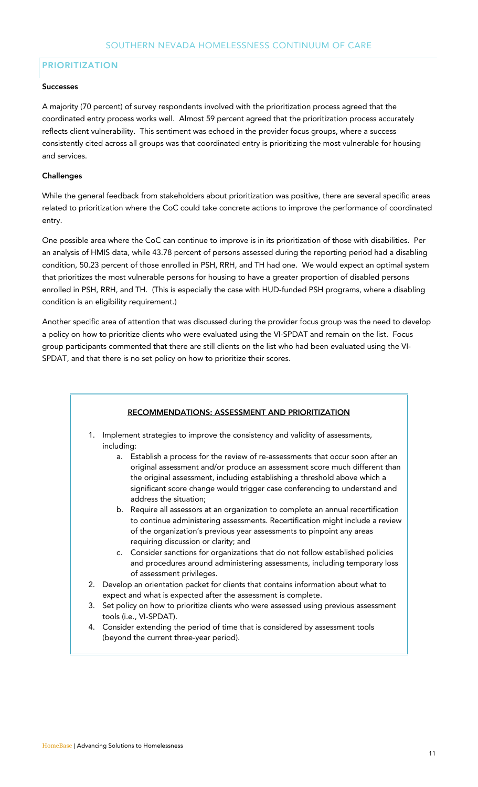# PRIORITIZATION

#### Successes

A majority (70 percent) of survey respondents involved with the prioritization process agreed that the coordinated entry process works well. Almost 59 percent agreed that the prioritization process accurately reflects client vulnerability. This sentiment was echoed in the provider focus groups, where a success consistently cited across all groups was that coordinated entry is prioritizing the most vulnerable for housing and services.

#### **Challenges**

While the general feedback from stakeholders about prioritization was positive, there are several specific areas related to prioritization where the CoC could take concrete actions to improve the performance of coordinated entry.

One possible area where the CoC can continue to improve is in its prioritization of those with disabilities. Per an analysis of HMIS data, while 43.78 percent of persons assessed during the reporting period had a disabling condition, 50.23 percent of those enrolled in PSH, RRH, and TH had one. We would expect an optimal system that prioritizes the most vulnerable persons for housing to have a greater proportion of disabled persons enrolled in PSH, RRH, and TH. (This is especially the case with HUD-funded PSH programs, where a disabling condition is an eligibility requirement.)

Another specific area of attention that was discussed during the provider focus group was the need to develop a policy on how to prioritize clients who were evaluated using the VI-SPDAT and remain on the list. Focus group participants commented that there are still clients on the list who had been evaluated using the VI-SPDAT, and that there is no set policy on how to prioritize their scores.

#### RECOMMENDATIONS: ASSESSMENT AND PRIORITIZATION

- 1. Implement strategies to improve the consistency and validity of assessments, including:
	- a. Establish a process for the review of re-assessments that occur soon after an original assessment and/or produce an assessment score much different than the original assessment, including establishing a threshold above which a significant score change would trigger case conferencing to understand and address the situation;
	- b. Require all assessors at an organization to complete an annual recertification to continue administering assessments. Recertification might include a review of the organization's previous year assessments to pinpoint any areas requiring discussion or clarity; and
	- c. Consider sanctions for organizations that do not follow established policies and procedures around administering assessments, including temporary loss of assessment privileges.
- 2. Develop an orientation packet for clients that contains information about what to expect and what is expected after the assessment is complete.
- 3. Set policy on how to prioritize clients who were assessed using previous assessment tools (i.e., VI-SPDAT).
- 4. Consider extending the period of time that is considered by assessment tools (beyond the current three-year period).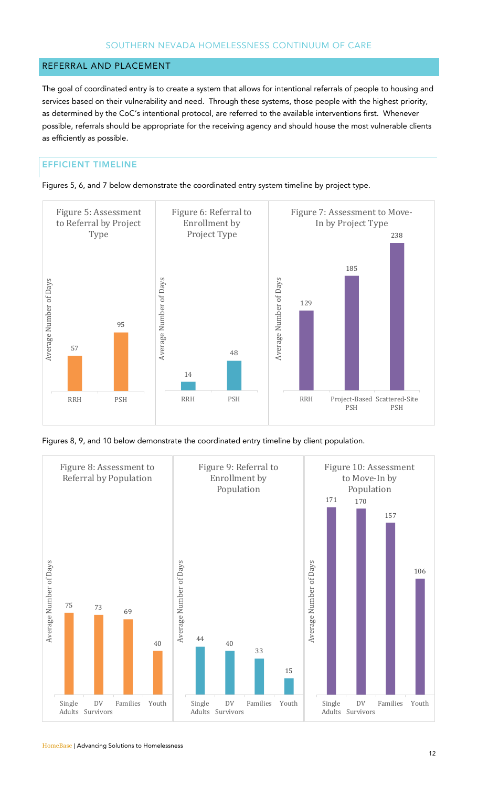# REFERRAL AND PLACEMENT

The goal of coordinated entry is to create a system that allows for intentional referrals of people to housing and services based on their vulnerability and need. Through these systems, those people with the highest priority, as determined by the CoC's intentional protocol, are referred to the available interventions first. Whenever possible, referrals should be appropriate for the receiving agency and should house the most vulnerable clients as efficiently as possible.

# EFFICIENT TIMELINE





Figures 8, 9, and 10 below demonstrate the coordinated entry timeline by client population.

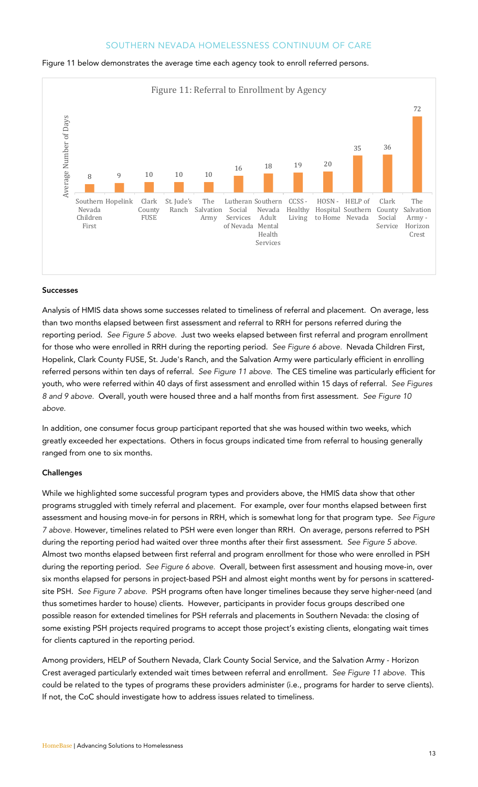

#### Figure 11 below demonstrates the average time each agency took to enroll referred persons.

#### Successes

Analysis of HMIS data shows some successes related to timeliness of referral and placement. On average, less than two months elapsed between first assessment and referral to RRH for persons referred during the reporting period. *See Figure 5 above.* Just two weeks elapsed between first referral and program enrollment for those who were enrolled in RRH during the reporting period. *See Figure 6 above.* Nevada Children First, Hopelink, Clark County FUSE, St. Jude's Ranch, and the Salvation Army were particularly efficient in enrolling referred persons within ten days of referral. *See Figure 11 above.* The CES timeline was particularly efficient for youth, who were referred within 40 days of first assessment and enrolled within 15 days of referral. *See Figures 8 and 9 above.* Overall, youth were housed three and a half months from first assessment. *See Figure 10 above.* 

In addition, one consumer focus group participant reported that she was housed within two weeks, which greatly exceeded her expectations. Others in focus groups indicated time from referral to housing generally ranged from one to six months.

#### **Challenges**

While we highlighted some successful program types and providers above, the HMIS data show that other programs struggled with timely referral and placement. For example, over four months elapsed between first assessment and housing move-in for persons in RRH, which is somewhat long for that program type. *See Figure 7 above.* However, timelines related to PSH were even longer than RRH. On average, persons referred to PSH during the reporting period had waited over three months after their first assessment. *See Figure 5 above.*  Almost two months elapsed between first referral and program enrollment for those who were enrolled in PSH during the reporting period. *See Figure 6 above.* Overall, between first assessment and housing move-in, over six months elapsed for persons in project-based PSH and almost eight months went by for persons in scatteredsite PSH. *See Figure 7 above.* PSH programs often have longer timelines because they serve higher-need (and thus sometimes harder to house) clients. However, participants in provider focus groups described one possible reason for extended timelines for PSH referrals and placements in Southern Nevada: the closing of some existing PSH projects required programs to accept those project's existing clients, elongating wait times for clients captured in the reporting period.

Among providers, HELP of Southern Nevada, Clark County Social Service, and the Salvation Army - Horizon Crest averaged particularly extended wait times between referral and enrollment. *See Figure 11 above.* This could be related to the types of programs these providers administer (i.e., programs for harder to serve clients). If not, the CoC should investigate how to address issues related to timeliness.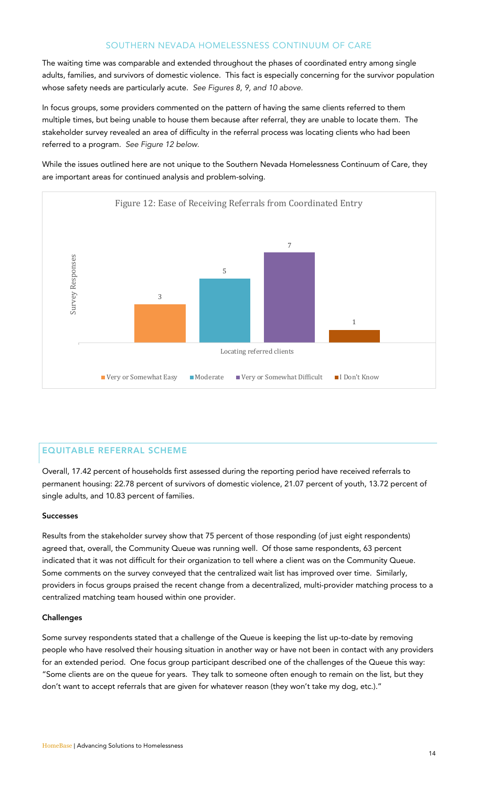The waiting time was comparable and extended throughout the phases of coordinated entry among single adults, families, and survivors of domestic violence. This fact is especially concerning for the survivor population whose safety needs are particularly acute. *See Figures 8, 9, and 10 above.* 

In focus groups, some providers commented on the pattern of having the same clients referred to them multiple times, but being unable to house them because after referral, they are unable to locate them. The stakeholder survey revealed an area of difficulty in the referral process was locating clients who had been referred to a program. *See Figure 12 below.* 

While the issues outlined here are not unique to the Southern Nevada Homelessness Continuum of Care, they are important areas for continued analysis and problem-solving.



## EQUITABLE REFERRAL SCHEME

Overall, 17.42 percent of households first assessed during the reporting period have received referrals to permanent housing: 22.78 percent of survivors of domestic violence, 21.07 percent of youth, 13.72 percent of single adults, and 10.83 percent of families.

#### Successes

Results from the stakeholder survey show that 75 percent of those responding (of just eight respondents) agreed that, overall, the Community Queue was running well. Of those same respondents, 63 percent indicated that it was not difficult for their organization to tell where a client was on the Community Queue. Some comments on the survey conveyed that the centralized wait list has improved over time. Similarly, providers in focus groups praised the recent change from a decentralized, multi-provider matching process to a centralized matching team housed within one provider.

#### **Challenges**

Some survey respondents stated that a challenge of the Queue is keeping the list up-to-date by removing people who have resolved their housing situation in another way or have not been in contact with any providers for an extended period. One focus group participant described one of the challenges of the Queue this way: "Some clients are on the queue for years. They talk to someone often enough to remain on the list, but they don't want to accept referrals that are given for whatever reason (they won't take my dog, etc.)."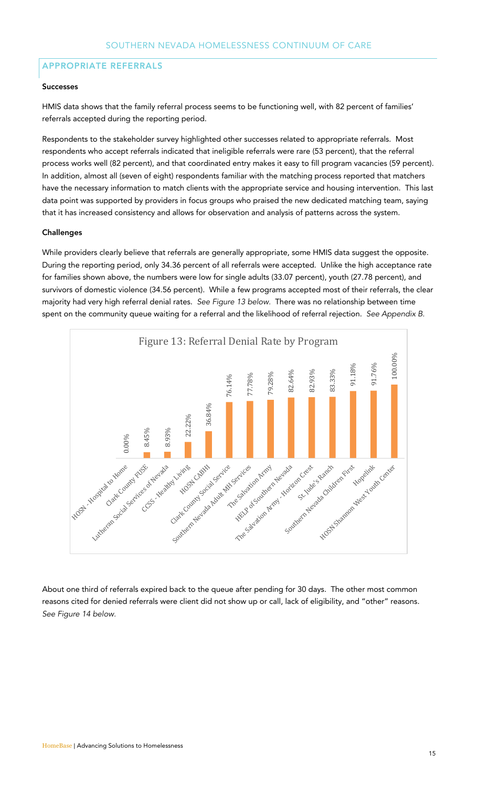# APPROPRIATE REFERRALS

#### Successes

HMIS data shows that the family referral process seems to be functioning well, with 82 percent of families' referrals accepted during the reporting period.

Respondents to the stakeholder survey highlighted other successes related to appropriate referrals. Most respondents who accept referrals indicated that ineligible referrals were rare (53 percent), that the referral process works well (82 percent), and that coordinated entry makes it easy to fill program vacancies (59 percent). In addition, almost all (seven of eight) respondents familiar with the matching process reported that matchers have the necessary information to match clients with the appropriate service and housing intervention. This last data point was supported by providers in focus groups who praised the new dedicated matching team, saying that it has increased consistency and allows for observation and analysis of patterns across the system.

#### Challenges

While providers clearly believe that referrals are generally appropriate, some HMIS data suggest the opposite. During the reporting period, only 34.36 percent of all referrals were accepted. Unlike the high acceptance rate for families shown above, the numbers were low for single adults (33.07 percent), youth (27.78 percent), and survivors of domestic violence (34.56 percent). While a few programs accepted most of their referrals, the clear majority had very high referral denial rates. *See Figure 13 below.* There was no relationship between time spent on the community queue waiting for a referral and the likelihood of referral rejection. *See Appendix B.*



About one third of referrals expired back to the queue after pending for 30 days. The other most common reasons cited for denied referrals were client did not show up or call, lack of eligibility, and "other" reasons. *See Figure 14 below.*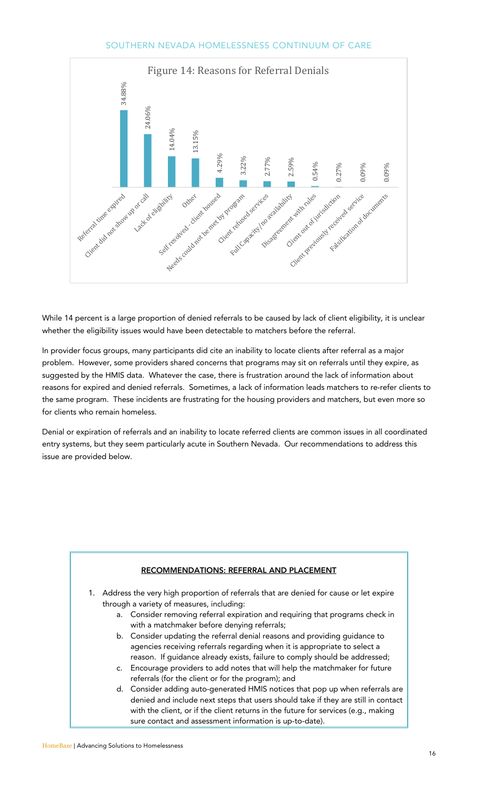

While 14 percent is a large proportion of denied referrals to be caused by lack of client eligibility, it is unclear whether the eligibility issues would have been detectable to matchers before the referral.

In provider focus groups, many participants did cite an inability to locate clients after referral as a major problem. However, some providers shared concerns that programs may sit on referrals until they expire, as suggested by the HMIS data. Whatever the case, there is frustration around the lack of information about reasons for expired and denied referrals. Sometimes, a lack of information leads matchers to re-refer clients to the same program. These incidents are frustrating for the housing providers and matchers, but even more so for clients who remain homeless.

Denial or expiration of referrals and an inability to locate referred clients are common issues in all coordinated entry systems, but they seem particularly acute in Southern Nevada. Our recommendations to address this issue are provided below.

| RECOMMENDATIONS: REFERRAL AND PLACEMENT                                                                                                                                                                                                                                                                             |
|---------------------------------------------------------------------------------------------------------------------------------------------------------------------------------------------------------------------------------------------------------------------------------------------------------------------|
| 1. Address the very high proportion of referrals that are denied for cause or let expire                                                                                                                                                                                                                            |
| through a variety of measures, including:                                                                                                                                                                                                                                                                           |
| Consider removing referral expiration and requiring that programs check in<br>a.<br>with a matchmaker before denying referrals;                                                                                                                                                                                     |
| b. Consider updating the referral denial reasons and providing guidance to<br>agencies receiving referrals regarding when it is appropriate to select a<br>reason. If guidance already exists, failure to comply should be addressed;                                                                               |
| c. Encourage providers to add notes that will help the matchmaker for future<br>referrals (for the client or for the program); and                                                                                                                                                                                  |
| d. Consider adding auto-generated HMIS notices that pop up when referrals are<br>denied and include next steps that users should take if they are still in contact<br>with the client, or if the client returns in the future for services (e.g., making<br>sure contact and assessment information is up-to-date). |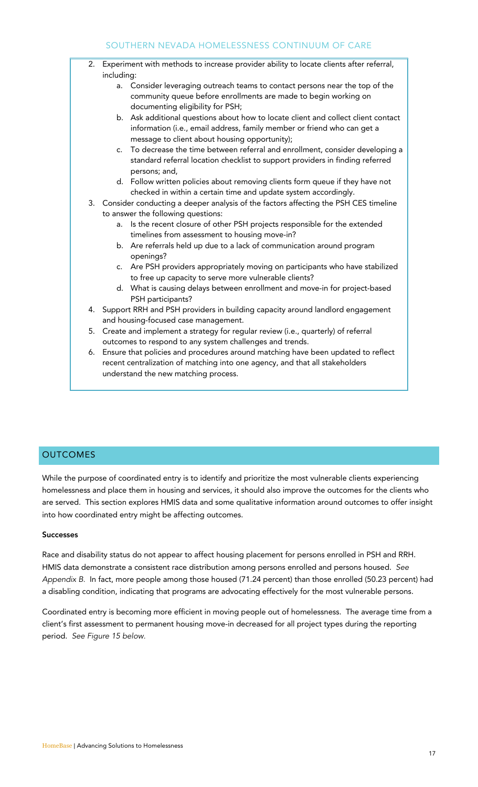#### 2. Experiment with methods to increase provider ability to locate clients after referral, including: a. Consider leveraging outreach teams to contact persons near the top of the

- community queue before enrollments are made to begin working on documenting eligibility for PSH;
- b. Ask additional questions about how to locate client and collect client contact information (i.e., email address, family member or friend who can get a message to client about housing opportunity);
- c. To decrease the time between referral and enrollment, consider developing a standard referral location checklist to support providers in finding referred persons; and,
- d. Follow written policies about removing clients form queue if they have not checked in within a certain time and update system accordingly.
- 3. Consider conducting a deeper analysis of the factors affecting the PSH CES timeline to answer the following questions:
	- a. Is the recent closure of other PSH projects responsible for the extended timelines from assessment to housing move-in?
	- b. Are referrals held up due to a lack of communication around program openings?
	- c. Are PSH providers appropriately moving on participants who have stabilized to free up capacity to serve more vulnerable clients?
	- d. What is causing delays between enrollment and move-in for project-based PSH participants?
- 4. Support RRH and PSH providers in building capacity around landlord engagement and housing-focused case management.
- 5. Create and implement a strategy for regular review (i.e., quarterly) of referral outcomes to respond to any system challenges and trends.
- 6. Ensure that policies and procedures around matching have been updated to reflect recent centralization of matching into one agency, and that all stakeholders understand the new matching process.

# **OUTCOMES**

While the purpose of coordinated entry is to identify and prioritize the most vulnerable clients experiencing homelessness and place them in housing and services, it should also improve the outcomes for the clients who are served. This section explores HMIS data and some qualitative information around outcomes to offer insight into how coordinated entry might be affecting outcomes.

#### Successes

Race and disability status do not appear to affect housing placement for persons enrolled in PSH and RRH. HMIS data demonstrate a consistent race distribution among persons enrolled and persons housed. *See Appendix B.* In fact, more people among those housed (71.24 percent) than those enrolled (50.23 percent) had a disabling condition, indicating that programs are advocating effectively for the most vulnerable persons.

Coordinated entry is becoming more efficient in moving people out of homelessness. The average time from a client's first assessment to permanent housing move-in decreased for all project types during the reporting period. *See Figure 15 below.*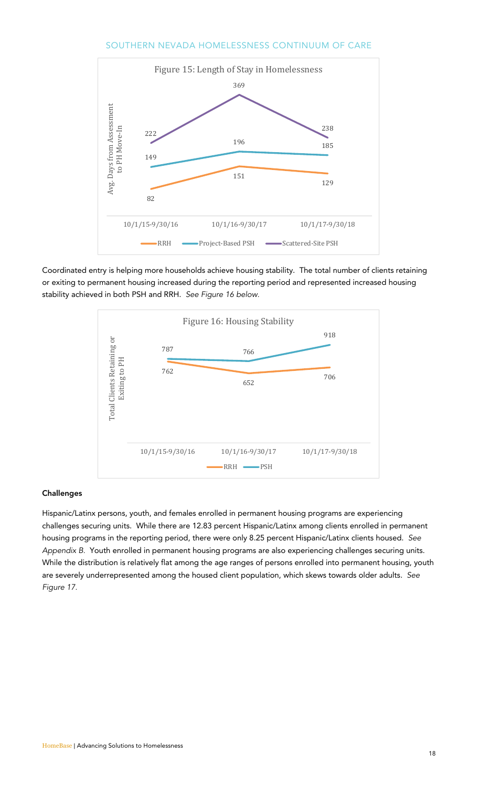

Coordinated entry is helping more households achieve housing stability. The total number of clients retaining or exiting to permanent housing increased during the reporting period and represented increased housing stability achieved in both PSH and RRH. *See Figure 16 below.*



#### **Challenges**

Hispanic/Latinx persons, youth, and females enrolled in permanent housing programs are experiencing challenges securing units. While there are 12.83 percent Hispanic/Latinx among clients enrolled in permanent housing programs in the reporting period, there were only 8.25 percent Hispanic/Latinx clients housed. *See Appendix B.* Youth enrolled in permanent housing programs are also experiencing challenges securing units. While the distribution is relatively flat among the age ranges of persons enrolled into permanent housing, youth are severely underrepresented among the housed client population, which skews towards older adults. *See Figure 17.*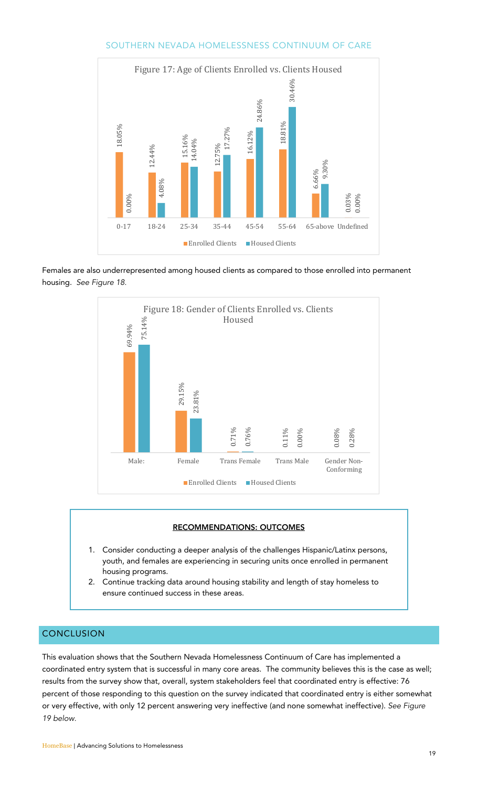

Females are also underrepresented among housed clients as compared to those enrolled into permanent housing. *See Figure 18.*



#### RECOMMENDATIONS: OUTCOMES

- 1. Consider conducting a deeper analysis of the challenges Hispanic/Latinx persons, youth, and females are experiencing in securing units once enrolled in permanent housing programs.
- 2. Continue tracking data around housing stability and length of stay homeless to ensure continued success in these areas.

# **CONCLUSION**

This evaluation shows that the Southern Nevada Homelessness Continuum of Care has implemented a coordinated entry system that is successful in many core areas. The community believes this is the case as well; results from the survey show that, overall, system stakeholders feel that coordinated entry is effective: 76 percent of those responding to this question on the survey indicated that coordinated entry is either somewhat or very effective, with only 12 percent answering very ineffective (and none somewhat ineffective). *See Figure 19 below.*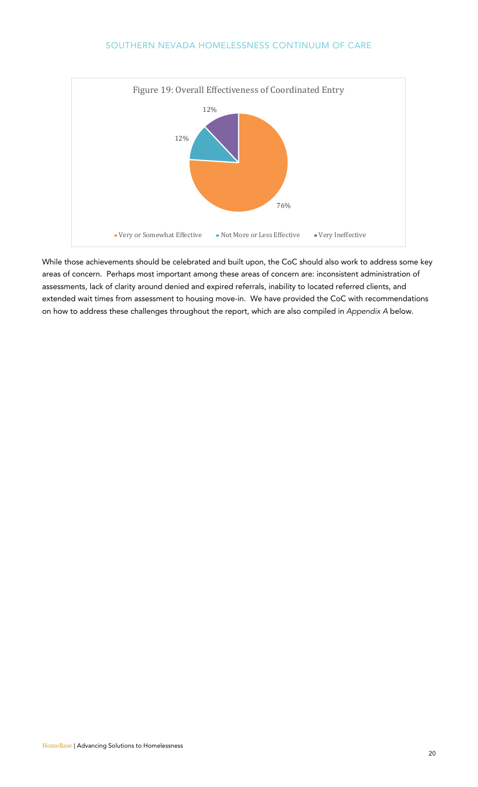

While those achievements should be celebrated and built upon, the CoC should also work to address some key areas of concern. Perhaps most important among these areas of concern are: inconsistent administration of assessments, lack of clarity around denied and expired referrals, inability to located referred clients, and extended wait times from assessment to housing move-in. We have provided the CoC with recommendations on how to address these challenges throughout the report, which are also compiled in *Appendix A* below.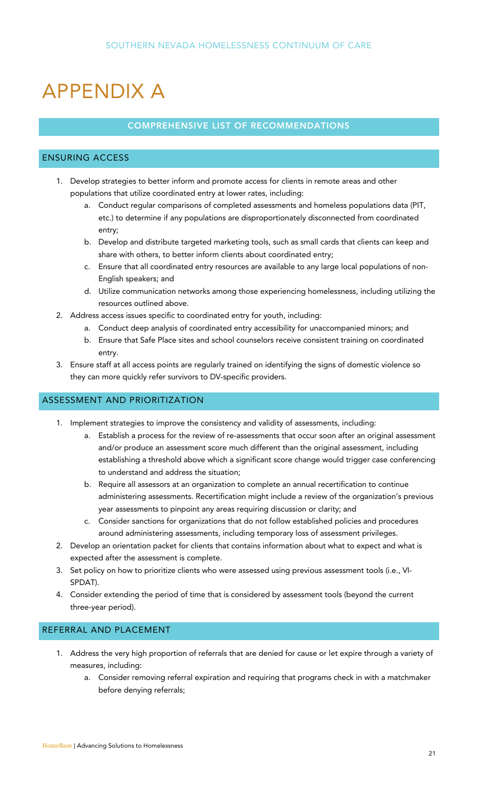# APPENDIX A

# COMPREHENSIVE LIST OF RECOMMENDATIONS

# ENSURING ACCESS

- 1. Develop strategies to better inform and promote access for clients in remote areas and other populations that utilize coordinated entry at lower rates, including:
	- a. Conduct regular comparisons of completed assessments and homeless populations data (PIT, etc.) to determine if any populations are disproportionately disconnected from coordinated entry;
	- b. Develop and distribute targeted marketing tools, such as small cards that clients can keep and share with others, to better inform clients about coordinated entry;
	- c. Ensure that all coordinated entry resources are available to any large local populations of non-English speakers; and
	- d. Utilize communication networks among those experiencing homelessness, including utilizing the resources outlined above.
- 2. Address access issues specific to coordinated entry for youth, including:
	- a. Conduct deep analysis of coordinated entry accessibility for unaccompanied minors; and
	- b. Ensure that Safe Place sites and school counselors receive consistent training on coordinated entry.
- 3. Ensure staff at all access points are regularly trained on identifying the signs of domestic violence so they can more quickly refer survivors to DV-specific providers.

# ASSESSMENT AND PRIORITIZATION

- 1. Implement strategies to improve the consistency and validity of assessments, including:
	- a. Establish a process for the review of re-assessments that occur soon after an original assessment and/or produce an assessment score much different than the original assessment, including establishing a threshold above which a significant score change would trigger case conferencing to understand and address the situation;
	- b. Require all assessors at an organization to complete an annual recertification to continue administering assessments. Recertification might include a review of the organization's previous year assessments to pinpoint any areas requiring discussion or clarity; and
	- c. Consider sanctions for organizations that do not follow established policies and procedures around administering assessments, including temporary loss of assessment privileges.
- 2. Develop an orientation packet for clients that contains information about what to expect and what is expected after the assessment is complete.
- 3. Set policy on how to prioritize clients who were assessed using previous assessment tools (i.e., VI-SPDAT).
- 4. Consider extending the period of time that is considered by assessment tools (beyond the current three-year period).

# REFERRAL AND PLACEMENT

- 1. Address the very high proportion of referrals that are denied for cause or let expire through a variety of measures, including:
	- a. Consider removing referral expiration and requiring that programs check in with a matchmaker before denying referrals;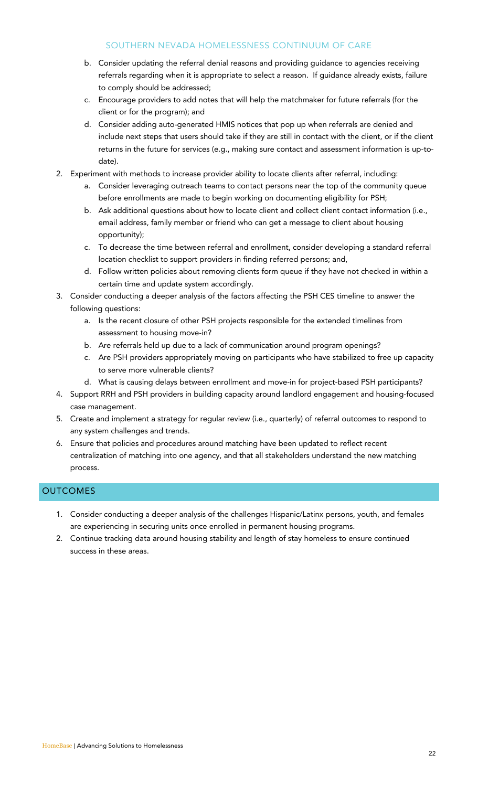- b. Consider updating the referral denial reasons and providing guidance to agencies receiving referrals regarding when it is appropriate to select a reason. If guidance already exists, failure to comply should be addressed;
- c. Encourage providers to add notes that will help the matchmaker for future referrals (for the client or for the program); and
- d. Consider adding auto-generated HMIS notices that pop up when referrals are denied and include next steps that users should take if they are still in contact with the client, or if the client returns in the future for services (e.g., making sure contact and assessment information is up-todate).
- 2. Experiment with methods to increase provider ability to locate clients after referral, including:
	- a. Consider leveraging outreach teams to contact persons near the top of the community queue before enrollments are made to begin working on documenting eligibility for PSH;
	- b. Ask additional questions about how to locate client and collect client contact information (i.e., email address, family member or friend who can get a message to client about housing opportunity);
	- c. To decrease the time between referral and enrollment, consider developing a standard referral location checklist to support providers in finding referred persons; and,
	- d. Follow written policies about removing clients form queue if they have not checked in within a certain time and update system accordingly.
- 3. Consider conducting a deeper analysis of the factors affecting the PSH CES timeline to answer the following questions:
	- a. Is the recent closure of other PSH projects responsible for the extended timelines from assessment to housing move-in?
	- b. Are referrals held up due to a lack of communication around program openings?
	- c. Are PSH providers appropriately moving on participants who have stabilized to free up capacity to serve more vulnerable clients?
	- d. What is causing delays between enrollment and move-in for project-based PSH participants?
- 4. Support RRH and PSH providers in building capacity around landlord engagement and housing-focused case management.
- 5. Create and implement a strategy for regular review (i.e., quarterly) of referral outcomes to respond to any system challenges and trends.
- 6. Ensure that policies and procedures around matching have been updated to reflect recent centralization of matching into one agency, and that all stakeholders understand the new matching process.

# **OUTCOMES**

- 1. Consider conducting a deeper analysis of the challenges Hispanic/Latinx persons, youth, and females are experiencing in securing units once enrolled in permanent housing programs.
- 2. Continue tracking data around housing stability and length of stay homeless to ensure continued success in these areas.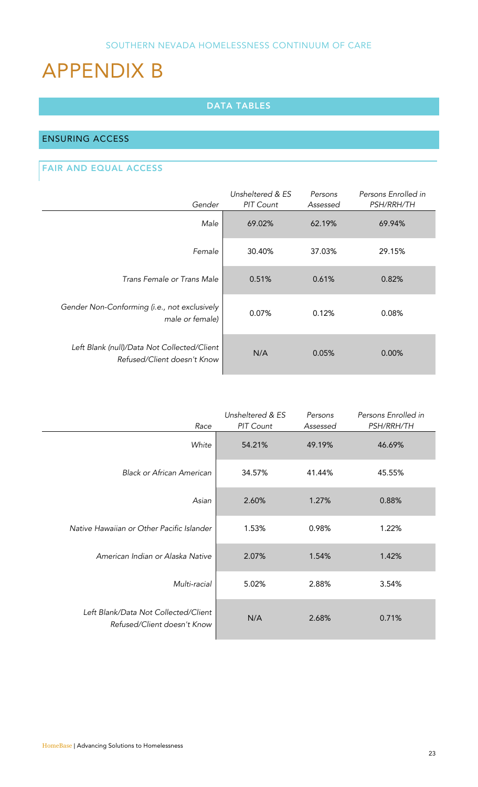# APPENDIX B

# DATA TABLES

# ENSURING ACCESS

# FAIR AND EQUAL ACCESS

| Gender                                                                     | Unsheltered & ES<br><b>PIT Count</b> | Persons<br>Assessed | Persons Enrolled in<br><b>PSH/RRH/TH</b> |
|----------------------------------------------------------------------------|--------------------------------------|---------------------|------------------------------------------|
| Male                                                                       | 69.02%                               | 62.19%              | 69.94%                                   |
| Female                                                                     | 30.40%                               | 37.03%              | 29.15%                                   |
| Trans Female or Trans Male                                                 | 0.51%                                | 0.61%               | 0.82%                                    |
| Gender Non-Conforming (i.e., not exclusively<br>male or female)            | 0.07%                                | 0.12%               | 0.08%                                    |
| Left Blank (null)/Data Not Collected/Client<br>Refused/Client doesn't Know | N/A                                  | 0.05%               | $0.00\%$                                 |

| Race                                                                | Unsheltered & ES<br>PIT Count | Persons<br>Assessed | Persons Enrolled in<br><b>PSH/RRH/TH</b> |
|---------------------------------------------------------------------|-------------------------------|---------------------|------------------------------------------|
| White                                                               | 54.21%                        | 49.19%              | 46.69%                                   |
| <b>Black or African American</b>                                    | 34.57%                        | 41.44%              | 45.55%                                   |
| Asian                                                               | 2.60%                         | 1.27%               | 0.88%                                    |
| Native Hawaiian or Other Pacific Islander                           | 1.53%                         | 0.98%               | 1.22%                                    |
| American Indian or Alaska Native                                    | 2.07%                         | 1.54%               | 1.42%                                    |
| Multi-racial                                                        | 5.02%                         | 2.88%               | 3.54%                                    |
| Left Blank/Data Not Collected/Client<br>Refused/Client doesn't Know | N/A                           | 2.68%               | 0.71%                                    |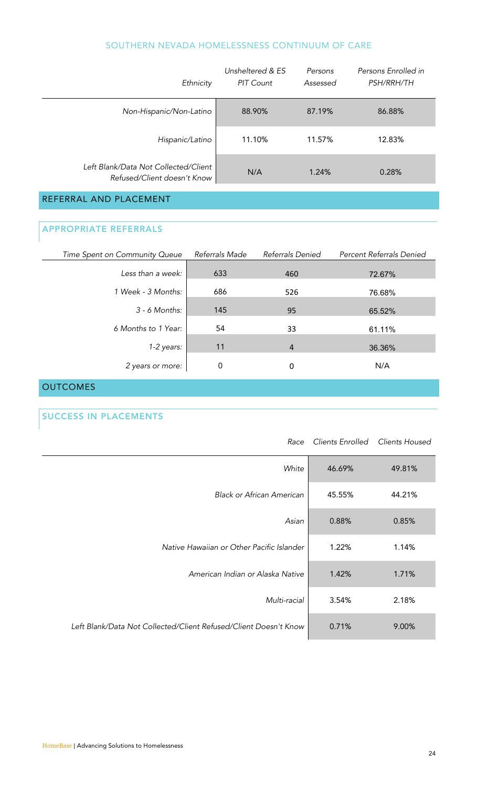| Ethnicity                                                           | Unsheltered & ES<br>PIT Count | Persons<br>Assessed | Persons Enrolled in<br><b>PSH/RRH/TH</b> |
|---------------------------------------------------------------------|-------------------------------|---------------------|------------------------------------------|
| Non-Hispanic/Non-Latino                                             | 88.90%                        | 87.19%              | 86.88%                                   |
| Hispanic/Latino                                                     | 11.10%                        | 11.57%              | 12.83%                                   |
| Left Blank/Data Not Collected/Client<br>Refused/Client doesn't Know | N/A                           | 1.24%               | 0.28%                                    |
| REFERRAL AND PLACEMENT                                              |                               |                     |                                          |

# APPROPRIATE REFERRALS

| Time Spent on Community Queue | Referrals Made | Referrals Denied | Percent Referrals Denied |
|-------------------------------|----------------|------------------|--------------------------|
| Less than a week:             | 633            | 460              | 72.67%                   |
| 1 Week - 3 Months:            | 686            | 526              | 76.68%                   |
| $3 - 6$ Months:               | 145            | 95               | 65.52%                   |
| 6 Months to 1 Year:           | 54             | 33               | 61.11%                   |
| 1-2 years:                    | 11             | $\overline{4}$   | 36.36%                   |
| 2 years or more:              | 0              | 0                | N/A                      |

# **OUTCOMES**

# SUCCESS IN PLACEMENTS

| Race                                                             | Clients Enrolled | Clients Housed |
|------------------------------------------------------------------|------------------|----------------|
| White                                                            | 46.69%           | 49.81%         |
| Black or African American                                        | 45.55%           | 44.21%         |
| Asian                                                            | 0.88%            | 0.85%          |
| Native Hawaiian or Other Pacific Islander                        | 1.22%            | 1.14%          |
| American Indian or Alaska Native                                 | 1.42%            | 1.71%          |
| Multi-racial                                                     | 3.54%            | 2.18%          |
| Left Blank/Data Not Collected/Client Refused/Client Doesn't Know | 0.71%            | 9.00%          |